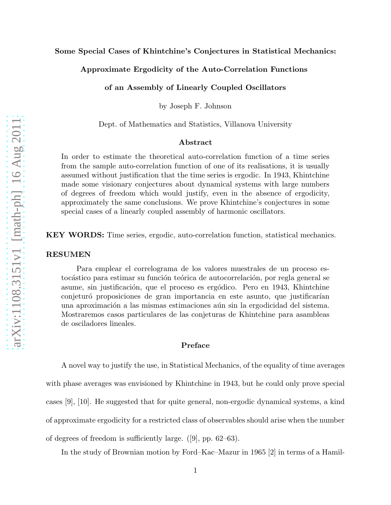## Approximate Ergodicity of the Auto-Correlation Functions

of an Assembly of Linearly Coupled Oscillators

by Joseph F. Johnson

Dept. of Mathematics and Statistics, Villanova University

## Abstract

In order to estimate the theoretical auto-correlation function of a time series from the sample auto-correlation function of one of its realisations, it is usually assumed without justification that the time series is ergodic. In 1943, Khintchine made some visionary conjectures about dynamical systems with large numbers of degrees of freedom which would justify, even in the absence of ergodicity, approximately the same conclusions. We prove Khintchine's conjectures in some special cases of a linearly coupled assembly of harmonic oscillators.

KEY WORDS: Time series, ergodic, auto-correlation function, statistical mechanics.

### RESUMEN

Para emplear el correlograma de los valores muestrales de un proceso estocástico para estimar su función teórica de autocorrelación, por regla general se asume, sin justificación, que el proceso es ergódico. Pero en 1943, Khintchine conjeturó proposiciones de gran importancia en este asunto, que justificarían una aproximación a las mismas estimaciones aún sin la ergodicidad del sistema. Mostraremos casos particulares de las conjeturas de Khintchine para asambleas de osciladores lineales.

### Preface

A novel way to justify the use, in Statistical Mechanics, of the equality of time averages with phase averages was envisioned by Khintchine in 1943, but he could only prove special cases [9], [10]. He suggested that for quite general, non-ergodic dynamical systems, a kind of approximate ergodicity for a restricted class of observables should arise when the number of degrees of freedom is sufficiently large. ([9], pp. 62–63).

In the study of Brownian motion by Ford–Kac–Mazur in 1965 [2] in terms of a Hamil-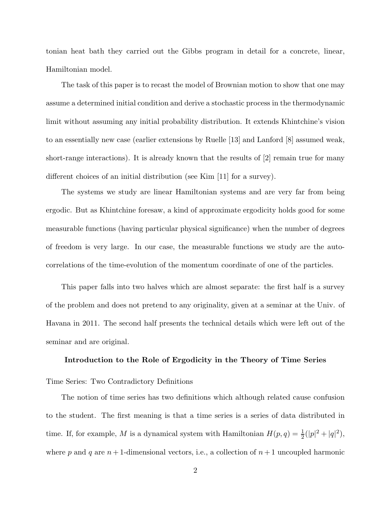tonian heat bath they carried out the Gibbs program in detail for a concrete, linear, Hamiltonian model.

The task of this paper is to recast the model of Brownian motion to show that one may assume a determined initial condition and derive a stochastic process in the thermodynamic limit without assuming any initial probability distribution. It extends Khintchine's vision to an essentially new case (earlier extensions by Ruelle [13] and Lanford [8] assumed weak, short-range interactions). It is already known that the results of [2] remain true for many different choices of an initial distribution (see Kim [11] for a survey).

The systems we study are linear Hamiltonian systems and are very far from being ergodic. But as Khintchine foresaw, a kind of approximate ergodicity holds good for some measurable functions (having particular physical significance) when the number of degrees of freedom is very large. In our case, the measurable functions we study are the autocorrelations of the time-evolution of the momentum coordinate of one of the particles.

This paper falls into two halves which are almost separate: the first half is a survey of the problem and does not pretend to any originality, given at a seminar at the Univ. of Havana in 2011. The second half presents the technical details which were left out of the seminar and are original.

#### Introduction to the Role of Ergodicity in the Theory of Time Series

# Time Series: Two Contradictory Definitions

The notion of time series has two definitions which although related cause confusion to the student. The first meaning is that a time series is a series of data distributed in time. If, for example, M is a dynamical system with Hamiltonian  $H(p,q) = \frac{1}{2}(|p|^2 + |q|^2)$ , where p and q are  $n+1$ -dimensional vectors, i.e., a collection of  $n+1$  uncoupled harmonic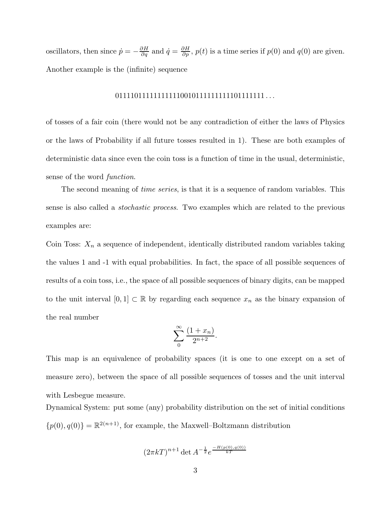oscillators, then since  $\dot{p} = -\frac{\partial H}{\partial q}$  and  $\dot{q} = \frac{\partial H}{\partial p}$ ,  $p(t)$  is a time series if  $p(0)$  and  $q(0)$  are given. Another example is the (infinite) sequence

# 011110111111111110010111111111101111111 . . .

of tosses of a fair coin (there would not be any contradiction of either the laws of Physics or the laws of Probability if all future tosses resulted in 1). These are both examples of deterministic data since even the coin toss is a function of time in the usual, deterministic, sense of the word *function*.

The second meaning of *time series*, is that it is a sequence of random variables. This sense is also called a *stochastic process*. Two examples which are related to the previous examples are:

Coin Toss:  $X_n$  a sequence of independent, identically distributed random variables taking the values 1 and -1 with equal probabilities. In fact, the space of all possible sequences of results of a coin toss, i.e., the space of all possible sequences of binary digits, can be mapped to the unit interval  $[0,1] \subset \mathbb{R}$  by regarding each sequence  $x_n$  as the binary expansion of the real number

$$
\sum_{0}^{\infty} \frac{(1+x_n)}{2^{n+2}}.
$$

This map is an equivalence of probability spaces (it is one to one except on a set of measure zero), between the space of all possible sequences of tosses and the unit interval with Lesbegue measure.

Dynamical System: put some (any) probability distribution on the set of initial conditions  $\{p(0), q(0)\} = \mathbb{R}^{2(n+1)}$ , for example, the Maxwell–Boltzmann distribution

$$
(2\pi kT)^{n+1}
$$
 det  $A^{-\frac{1}{2}}e^{\frac{-H(p(0),q(0))}{kT}}$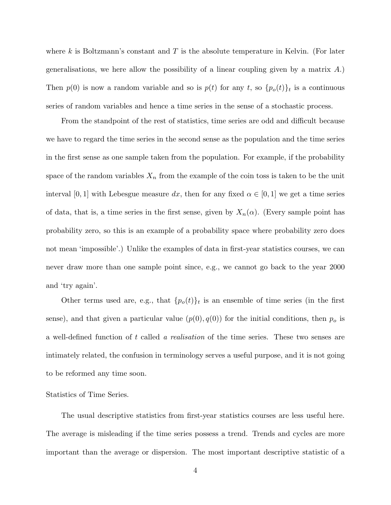where k is Boltzmann's constant and T is the absolute temperature in Kelvin. (For later generalisations, we here allow the possibility of a linear coupling given by a matrix A.) Then  $p(0)$  is now a random variable and so is  $p(t)$  for any t, so  $\{p_o(t)\}_t$  is a continuous series of random variables and hence a time series in the sense of a stochastic process.

From the standpoint of the rest of statistics, time series are odd and difficult because we have to regard the time series in the second sense as the population and the time series in the first sense as one sample taken from the population. For example, if the probability space of the random variables  $X_n$  from the example of the coin toss is taken to be the unit interval [0, 1] with Lebesgue measure dx, then for any fixed  $\alpha \in [0, 1]$  we get a time series of data, that is, a time series in the first sense, given by  $X_n(\alpha)$ . (Every sample point has probability zero, so this is an example of a probability space where probability zero does not mean 'impossible'.) Unlike the examples of data in first-year statistics courses, we can never draw more than one sample point since, e.g., we cannot go back to the year 2000 and 'try again'.

Other terms used are, e.g., that  $\{p_o(t)\}_t$  is an ensemble of time series (in the first sense), and that given a particular value  $(p(0), q(0))$  for the initial conditions, then  $p<sub>o</sub>$  is a well-defined function of t called *a realisation* of the time series. These two senses are intimately related, the confusion in terminology serves a useful purpose, and it is not going to be reformed any time soon.

Statistics of Time Series.

The usual descriptive statistics from first-year statistics courses are less useful here. The average is misleading if the time series possess a trend. Trends and cycles are more important than the average or dispersion. The most important descriptive statistic of a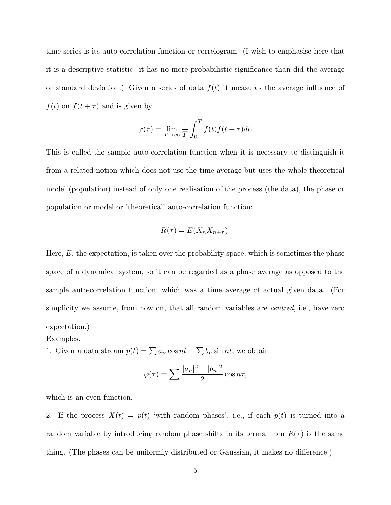time series is its auto-correlation function or correlogram. (I wish to emphasise here that it is a descriptive statistic: it has no more probabilistic significance than did the average or standard deviation.) Given a series of data  $f(t)$  it measures the average influence of  $f(t)$  on  $f(t + \tau)$  and is given by

$$
\varphi(\tau) = \lim_{T \to \infty} \frac{1}{T} \int_0^T f(t) f(t + \tau) dt.
$$

This is called the sample auto-correlation function when it is necessary to distinguish it from a related notion which does not use the time average but uses the whole theoretical model (population) instead of only one realisation of the process (the data), the phase or population or model or 'theoretical' auto-correlation function:

$$
R(\tau) = E(X_n X_{n+\tau}).
$$

Here,  $E$ , the expectation, is taken over the probability space, which is sometimes the phase space of a dynamical system, so it can be regarded as a phase average as opposed to the sample auto-correlation function, which was a time average of actual given data. (For simplicity we assume, from now on, that all random variables are *centred*, i.e., have zero expectation.)

1. Given a data stream  $p(t) = \sum a_n \cos nt + \sum b_n \sin nt$ , we obtain

$$
\varphi(\tau) = \sum \frac{|a_n|^2 + |b_n|^2}{2} \cos n\tau,
$$

which is an even function.

Examples.

2. If the process  $X(t) = p(t)$  'with random phases', i.e., if each  $p(t)$  is turned into a random variable by introducing random phase shifts in its terms, then  $R(\tau)$  is the same thing. (The phases can be uniformly distributed or Gaussian, it makes no difference.)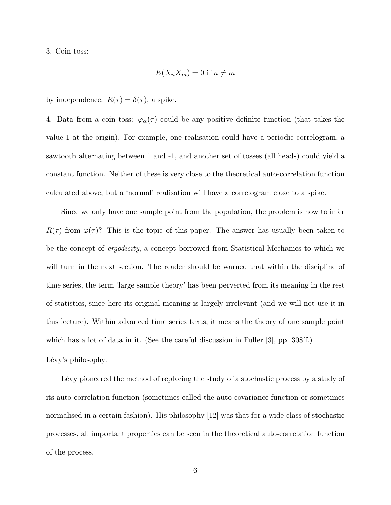3. Coin toss:

$$
E(X_n X_m) = 0 \text{ if } n \neq m
$$

by independence.  $R(\tau) = \delta(\tau)$ , a spike.

4. Data from a coin toss:  $\varphi_{\alpha}(\tau)$  could be any positive definite function (that takes the value 1 at the origin). For example, one realisation could have a periodic correlogram, a sawtooth alternating between 1 and -1, and another set of tosses (all heads) could yield a constant function. Neither of these is very close to the theoretical auto-correlation function calculated above, but a 'normal' realisation will have a correlogram close to a spike.

Since we only have one sample point from the population, the problem is how to infer  $R(\tau)$  from  $\varphi(\tau)$ ? This is the topic of this paper. The answer has usually been taken to be the concept of *ergodicity*, a concept borrowed from Statistical Mechanics to which we will turn in the next section. The reader should be warned that within the discipline of time series, the term 'large sample theory' has been perverted from its meaning in the rest of statistics, since here its original meaning is largely irrelevant (and we will not use it in this lecture). Within advanced time series texts, it means the theory of one sample point which has a lot of data in it. (See the careful discussion in Fuller [3], pp. 308ff.) Lévy's philosophy.

Lévy pioneered the method of replacing the study of a stochastic process by a study of its auto-correlation function (sometimes called the auto-covariance function or sometimes normalised in a certain fashion). His philosophy [12] was that for a wide class of stochastic processes, all important properties can be seen in the theoretical auto-correlation function of the process.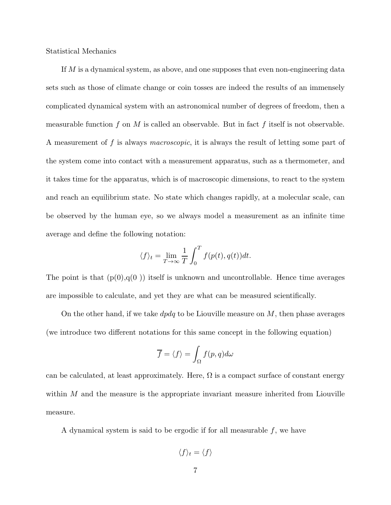Statistical Mechanics

If M is a dynamical system, as above, and one supposes that even non-engineering data sets such as those of climate change or coin tosses are indeed the results of an immensely complicated dynamical system with an astronomical number of degrees of freedom, then a measurable function f on M is called an observable. But in fact f itself is not observable. A measurement of f is always *macroscopic*, it is always the result of letting some part of the system come into contact with a measurement apparatus, such as a thermometer, and it takes time for the apparatus, which is of macroscopic dimensions, to react to the system and reach an equilibrium state. No state which changes rapidly, at a molecular scale, can be observed by the human eye, so we always model a measurement as an infinite time average and define the following notation:

$$
\langle f \rangle_t = \lim_{T \to \infty} \frac{1}{T} \int_0^T f(p(t), q(t)) dt.
$$

The point is that  $(p(0),q(0))$  itself is unknown and uncontrollable. Hence time averages are impossible to calculate, and yet they are what can be measured scientifically.

On the other hand, if we take  $dpdq$  to be Liouville measure on M, then phase averages (we introduce two different notations for this same concept in the following equation)

$$
\overline{f} = \langle f \rangle = \int_{\Omega} f(p, q) d\omega
$$

can be calculated, at least approximately. Here,  $\Omega$  is a compact surface of constant energy within  $M$  and the measure is the appropriate invariant measure inherited from Liouville measure.

A dynamical system is said to be ergodic if for all measurable  $f$ , we have

$$
\langle f \rangle_t = \langle f \rangle
$$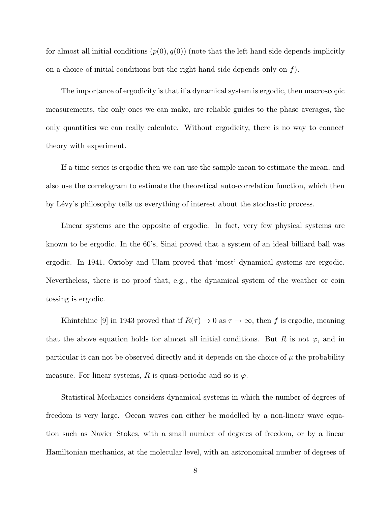for almost all initial conditions  $(p(0), q(0))$  (note that the left hand side depends implicitly on a choice of initial conditions but the right hand side depends only on  $f$ ).

The importance of ergodicity is that if a dynamical system is ergodic, then macroscopic measurements, the only ones we can make, are reliable guides to the phase averages, the only quantities we can really calculate. Without ergodicity, there is no way to connect theory with experiment.

If a time series is ergodic then we can use the sample mean to estimate the mean, and also use the correlogram to estimate the theoretical auto-correlation function, which then by Lévy's philosophy tells us everything of interest about the stochastic process.

Linear systems are the opposite of ergodic. In fact, very few physical systems are known to be ergodic. In the 60's, Sinai proved that a system of an ideal billiard ball was ergodic. In 1941, Oxtoby and Ulam proved that 'most' dynamical systems are ergodic. Nevertheless, there is no proof that, e.g., the dynamical system of the weather or coin tossing is ergodic.

Khintchine [9] in 1943 proved that if  $R(\tau) \to 0$  as  $\tau \to \infty$ , then f is ergodic, meaning that the above equation holds for almost all initial conditions. But R is not  $\varphi$ , and in particular it can not be observed directly and it depends on the choice of  $\mu$  the probability measure. For linear systems, R is quasi-periodic and so is  $\varphi$ .

Statistical Mechanics considers dynamical systems in which the number of degrees of freedom is very large. Ocean waves can either be modelled by a non-linear wave equation such as Navier–Stokes, with a small number of degrees of freedom, or by a linear Hamiltonian mechanics, at the molecular level, with an astronomical number of degrees of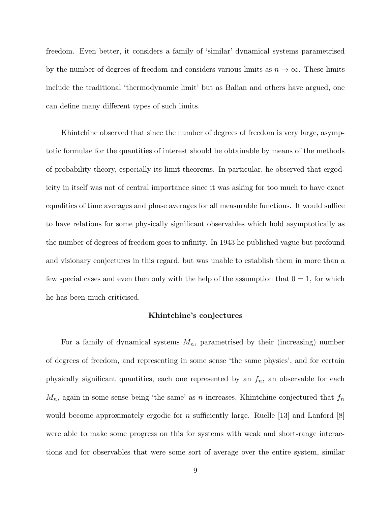freedom. Even better, it considers a family of 'similar' dynamical systems parametrised by the number of degrees of freedom and considers various limits as  $n \to \infty$ . These limits include the traditional 'thermodynamic limit' but as Balian and others have argued, one can define many different types of such limits.

Khintchine observed that since the number of degrees of freedom is very large, asymptotic formulae for the quantities of interest should be obtainable by means of the methods of probability theory, especially its limit theorems. In particular, he observed that ergodicity in itself was not of central importance since it was asking for too much to have exact equalities of time averages and phase averages for all measurable functions. It would suffice to have relations for some physically significant observables which hold asymptotically as the number of degrees of freedom goes to infinity. In 1943 he published vague but profound and visionary conjectures in this regard, but was unable to establish them in more than a few special cases and even then only with the help of the assumption that  $0 = 1$ , for which he has been much criticised.

### Khintchine's conjectures

For a family of dynamical systems  $M_n$ , parametrised by their (increasing) number of degrees of freedom, and representing in some sense 'the same physics', and for certain physically significant quantities, each one represented by an  $f_n$ , an observable for each  $M_n$ , again in some sense being 'the same' as n increases, Khintchine conjectured that  $f_n$ would become approximately ergodic for n sufficiently large. Ruelle [13] and Lanford  $|8|$ were able to make some progress on this for systems with weak and short-range interactions and for observables that were some sort of average over the entire system, similar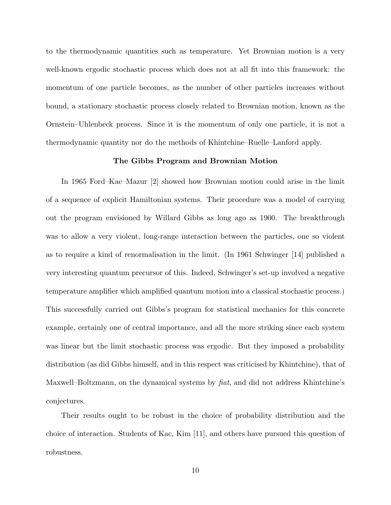to the thermodynamic quantities such as temperature. Yet Brownian motion is a very well-known ergodic stochastic process which does not at all fit into this framework: the momentum of one particle becomes, as the number of other particles increases without bound, a stationary stochastic process closely related to Brownian motion, known as the Ornstein–Uhlenbeck process. Since it is the momentum of only one particle, it is not a thermodynamic quantity nor do the methods of Khintchine–Ruelle–Lanford apply.

# The Gibbs Program and Brownian Motion

In 1965 Ford–Kac–Mazur [2] showed how Brownian motion could arise in the limit of a sequence of explicit Hamiltonian systems. Their procedure was a model of carrying out the program envisioned by Willard Gibbs as long ago as 1900. The breakthrough was to allow a very violent, long-range interaction between the particles, one so violent as to require a kind of renormalisation in the limit. (In 1961 Schwinger [14] published a very interesting quantum precursor of this. Indeed, Schwinger's set-up involved a negative temperature amplifier which amplified quantum motion into a classical stochastic process.) This successfully carried out Gibbs's program for statistical mechanics for this concrete example, certainly one of central importance, and all the more striking since each system was linear but the limit stochastic process was ergodic. But they imposed a probability distribution (as did Gibbs himself, and in this respect was criticised by Khintchine), that of Maxwell–Boltzmann, on the dynamical systems by *fiat*, and did not address Khintchine's conjectures.

Their results ought to be robust in the choice of probability distribution and the choice of interaction. Students of Kac, Kim [11], and others have pursued this question of robustness.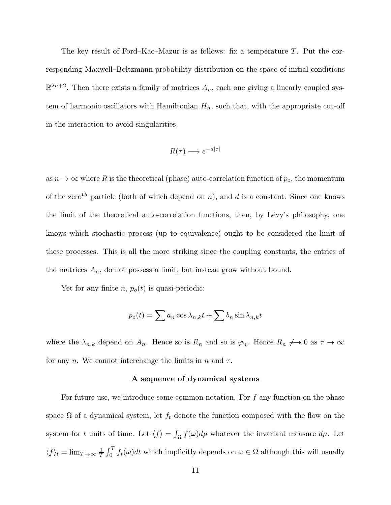The key result of Ford–Kac–Mazur is as follows: fix a temperature T. Put the corresponding Maxwell–Boltzmann probability distribution on the space of initial conditions  $\mathbb{R}^{2n+2}$ . Then there exists a family of matrices  $A_n$ , each one giving a linearly coupled system of harmonic oscillators with Hamiltonian  $H_n$ , such that, with the appropriate cut-off in the interaction to avoid singularities,

$$
R(\tau) \longrightarrow e^{-d|\tau|}
$$

as  $n \to \infty$  where R is the theoretical (phase) auto-correlation function of  $p_o$ , the momentum of the zero<sup>th</sup> particle (both of which depend on n), and d is a constant. Since one knows the limit of the theoretical auto-correlation functions, then, by Lévy's philosophy, one knows which stochastic process (up to equivalence) ought to be considered the limit of these processes. This is all the more striking since the coupling constants, the entries of the matrices  $A_n$ , do not possess a limit, but instead grow without bound.

Yet for any finite *n*,  $p_o(t)$  is quasi-periodic:

$$
p_o(t) = \sum a_n \cos \lambda_{n,k} t + \sum b_n \sin \lambda_{n,k} t
$$

where the  $\lambda_{n,k}$  depend on  $A_n$ . Hence so is  $R_n$  and so is  $\varphi_n$ . Hence  $R_n \nrightarrow 0$  as  $\tau \rightarrow \infty$ for any n. We cannot interchange the limits in n and  $\tau$ .

### A sequence of dynamical systems

For future use, we introduce some common notation. For  $f$  any function on the phase space  $\Omega$  of a dynamical system, let  $f_t$  denote the function composed with the flow on the system for t units of time. Let  $\langle f \rangle = \int_{\Omega} f(\omega) d\mu$  whatever the invariant measure  $d\mu$ . Let  $\langle f \rangle_t = \lim_{T \to \infty} \frac{1}{T}$  $\frac{1}{T} \int_0^T f_t(\omega) dt$  which implicitly depends on  $\omega \in \Omega$  although this will usually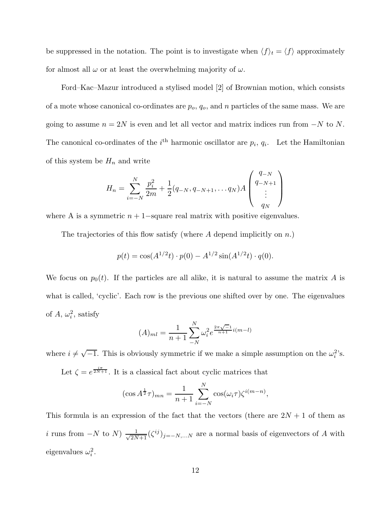be suppressed in the notation. The point is to investigate when  $\langle f \rangle_t = \langle f \rangle$  approximately for almost all  $\omega$  or at least the overwhelming majority of  $\omega$ .

Ford–Kac–Mazur introduced a stylised model [2] of Brownian motion, which consists of a mote whose canonical co-ordinates are  $p_o$ ,  $q_o$ , and n particles of the same mass. We are going to assume  $n = 2N$  is even and let all vector and matrix indices run from  $-N$  to N. The canonical co-ordinates of the  $i<sup>th</sup>$  harmonic oscillator are  $p_i$ ,  $q_i$ . Let the Hamiltonian of this system be  $H_n$  and write

$$
H_n = \sum_{i=-N}^{N} \frac{p_i^2}{2m} + \frac{1}{2}(q_{-N}, q_{-N+1}, \dots q_N)A\begin{pmatrix} q_{-N} \\ q_{-N+1} \\ \vdots \\ q_N \end{pmatrix}
$$

where A is a symmetric  $n + 1$ –square real matrix with positive eigenvalues.

The trajectories of this flow satisfy (where  $A$  depend implicitly on  $n$ .)

$$
p(t) = \cos(A^{1/2}t) \cdot p(0) - A^{1/2} \sin(A^{1/2}t) \cdot q(0).
$$

We focus on  $p_0(t)$ . If the particles are all alike, it is natural to assume the matrix A is what is called, 'cyclic'. Each row is the previous one shifted over by one. The eigenvalues of  $A, \omega_i^2$ , satisfy

$$
(A)_{ml} = \frac{1}{n+1} \sum_{-N}^{N} \omega_i^2 e^{\frac{2\pi \sqrt{-1}}{n+1} i(m-l)}
$$

where  $i \neq \sqrt{-1}$ . This is obviously symmetric if we make a simple assumption on the  $\omega_i^2$ 's.

Let  $\zeta = e^{\frac{i\pi}{2N+1}}$ . It is a classical fact about cyclic matrices that

$$
(\cos A^{\frac{1}{2}}\tau)_{mn} = \frac{1}{n+1} \sum_{i=-N}^{N} \cos(\omega_i \tau) \zeta^{i(m-n)},
$$

This formula is an expression of the fact that the vectors (there are  $2N + 1$  of them as *i* runs from  $-N$  to  $N$ )  $\frac{1}{\sqrt{2N+1}}(\zeta^{ij})_{j=-N,...N}$  are a normal basis of eigenvectors of A with eigenvalues  $\omega_i^2$ .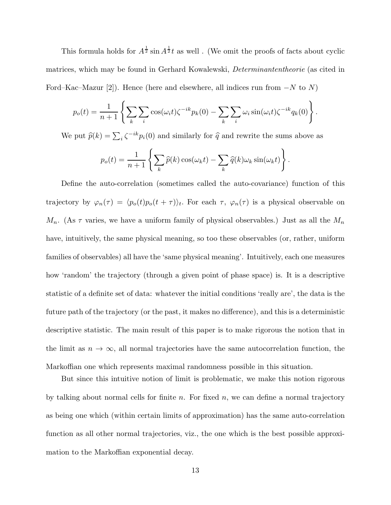This formula holds for  $A^{\frac{1}{2}}$  sin  $A^{\frac{1}{2}}t$  as well. (We omit the proofs of facts about cyclic matrices, which may be found in Gerhard Kowalewski, *Determinantentheorie* (as cited in Ford–Kac–Mazur [2]). Hence (here and elsewhere, all indices run from  $-N$  to N)

$$
p_o(t) = \frac{1}{n+1} \left\{ \sum_k \sum_i \cos(\omega_i t) \zeta^{-ik} p_k(0) - \sum_k \sum_i \omega_i \sin(\omega_i t) \zeta^{-ik} q_k(0) \right\}.
$$

We put  $\hat{p}(k) = \sum_i \zeta^{-ik} p_i(0)$  and similarly for  $\hat{q}$  and rewrite the sums above as

$$
p_o(t) = \frac{1}{n+1} \left\{ \sum_k \widehat{p}(k) \cos(\omega_k t) - \sum_k \widehat{q}(k) \omega_k \sin(\omega_k t) \right\}.
$$

Define the auto-correlation (sometimes called the auto-covariance) function of this trajectory by  $\varphi_n(\tau) = \langle p_o(t)p_o(t + \tau) \rangle_t$ . For each  $\tau$ ,  $\varphi_n(\tau)$  is a physical observable on  $M_n$ . (As  $\tau$  varies, we have a uniform family of physical observables.) Just as all the  $M_n$ have, intuitively, the same physical meaning, so too these observables (or, rather, uniform families of observables) all have the 'same physical meaning'. Intuitively, each one measures how 'random' the trajectory (through a given point of phase space) is. It is a descriptive statistic of a definite set of data: whatever the initial conditions 'really are', the data is the future path of the trajectory (or the past, it makes no difference), and this is a deterministic descriptive statistic. The main result of this paper is to make rigorous the notion that in the limit as  $n \to \infty$ , all normal trajectories have the same autocorrelation function, the Markoffian one which represents maximal randomness possible in this situation.

But since this intuitive notion of limit is problematic, we make this notion rigorous by talking about normal cells for finite n. For fixed  $n$ , we can define a normal trajectory as being one which (within certain limits of approximation) has the same auto-correlation function as all other normal trajectories, viz., the one which is the best possible approximation to the Markoffian exponential decay.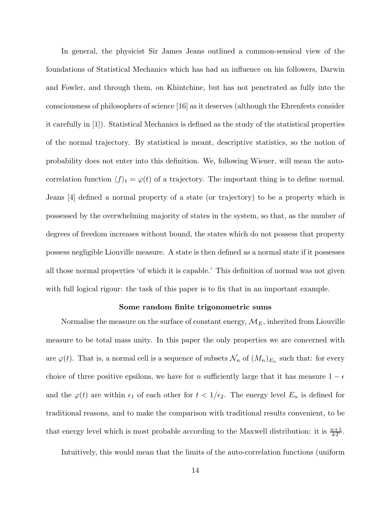In general, the physicist Sir James Jeans outlined a common-sensical view of the foundations of Statistical Mechanics which has had an influence on his followers, Darwin and Fowler, and through them, on Khintchine, but has not penetrated as fully into the consciousness of philosophers of science [16] as it deserves (although the Ehrenfests consider it carefully in [1]). Statistical Mechanics is defined as the study of the statistical properties of the normal trajectory. By statistical is meant, descriptive statistics, so the notion of probability does not enter into this definition. We, following Wiener, will mean the autocorrelation function  $\langle f \rangle_t = \varphi(t)$  of a trajectory. The important thing is to define normal. Jeans [4] defined a normal property of a state (or trajectory) to be a property which is possessed by the overwhelming majority of states in the system, so that, as the number of degrees of freedom increases without bound, the states which do not possess that property possess negligible Liouville measure. A state is then defined as a normal state if it possesses all those normal properties 'of which it is capable.' This definition of normal was not given with full logical rigour: the task of this paper is to fix that in an important example.

### Some random finite trigonometric sums

Normalise the measure on the surface of constant energy,  $\mathcal{M}_E$ , inherited from Liouville measure to be total mass unity. In this paper the only properties we are concerned with are  $\varphi(t)$ . That is, a normal cell is a sequence of subsets  $\mathcal{N}_n$  of  $(M_n)_{E_n}$  such that: for every choice of three positive epsilons, we have for n sufficiently large that it has measure  $1 - \epsilon$ and the  $\varphi(t)$  are within  $\epsilon_1$  of each other for  $t < 1/\epsilon_2$ . The energy level  $E_n$  is defined for traditional reasons, and to make the comparison with traditional results convenient, to be that energy level which is most probable according to the Maxwell distribution: it is  $\frac{n+1}{kT}$ .

Intuitively, this would mean that the limits of the auto-correlation functions (uniform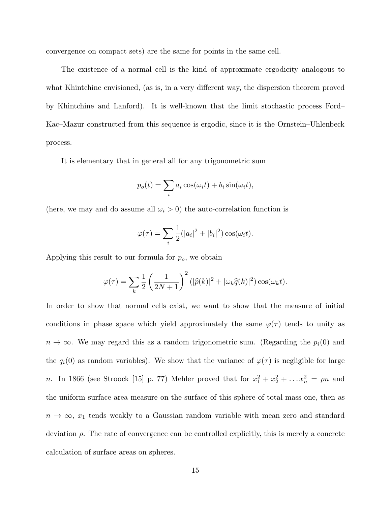convergence on compact sets) are the same for points in the same cell.

The existence of a normal cell is the kind of approximate ergodicity analogous to what Khintchine envisioned, (as is, in a very different way, the dispersion theorem proved by Khintchine and Lanford). It is well-known that the limit stochastic process Ford– Kac–Mazur constructed from this sequence is ergodic, since it is the Ornstein–Uhlenbeck process.

It is elementary that in general all for any trigonometric sum

$$
p_o(t) = \sum_i a_i \cos(\omega_i t) + b_i \sin(\omega_i t),
$$

(here, we may and do assume all  $\omega_i > 0$ ) the auto-correlation function is

$$
\varphi(\tau) = \sum_{i} \frac{1}{2} (|a_i|^2 + |b_i|^2) \cos(\omega_i t).
$$

Applying this result to our formula for  $p<sub>o</sub>$ , we obtain

$$
\varphi(\tau) = \sum_{k} \frac{1}{2} \left( \frac{1}{2N+1} \right)^2 (|\widehat{p}(k)|^2 + |\omega_k \widehat{q}(k)|^2) \cos(\omega_k t).
$$

In order to show that normal cells exist, we want to show that the measure of initial conditions in phase space which yield approximately the same  $\varphi(\tau)$  tends to unity as  $n \to \infty$ . We may regard this as a random trigonometric sum. (Regarding the  $p_i(0)$  and the  $q_i(0)$  as random variables). We show that the variance of  $\varphi(\tau)$  is negligible for large n. In 1866 (see Stroock [15] p. 77) Mehler proved that for  $x_1^2 + x_2^2 + \ldots + x_n^2 = \rho n$  and the uniform surface area measure on the surface of this sphere of total mass one, then as  $n \to \infty$ ,  $x_1$  tends weakly to a Gaussian random variable with mean zero and standard deviation  $\rho$ . The rate of convergence can be controlled explicitly, this is merely a concrete calculation of surface areas on spheres.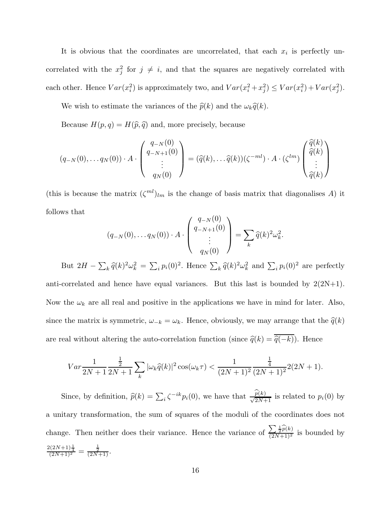It is obvious that the coordinates are uncorrelated, that each  $x_i$  is perfectly uncorrelated with the  $x_j^2$  for  $j \neq i$ , and that the squares are negatively correlated with each other. Hence  $Var(x_i^2)$  is approximately two, and  $Var(x_i^2 + x_j^2) \leq Var(x_i^2) + Var(x_j^2)$ .

We wish to estimate the variances of the  $\hat{p}(k)$  and the  $\omega_k\hat{q}(k)$ .

Because  $H(p,q) = H(\hat{p}, \hat{q})$  and, more precisely, because

$$
(q_{-N}(0), \ldots q_N(0)) \cdot A \cdot \begin{pmatrix} q_{-N}(0) \\ q_{-N+1}(0) \\ \vdots \\ q_N(0) \end{pmatrix} = (\widehat{q}(k), \ldots \widehat{q}(k)) (\zeta^{-ml}) \cdot A \cdot (\zeta^{lm}) \begin{pmatrix} \widehat{q}(k) \\ \widehat{q}(k) \\ \vdots \\ \widehat{q}(k) \end{pmatrix}
$$

(this is because the matrix  $(\zeta^{ml})_{lm}$  is the change of basis matrix that diagonalises A) it follows that

$$
(q_{-N}(0), \ldots q_N(0)) \cdot A \cdot \begin{pmatrix} q_{-N}(0) \\ q_{-N+1}(0) \\ \vdots \\ q_N(0) \end{pmatrix} = \sum_k \widehat{q}(k)^2 \omega_k^2.
$$

But  $2H - \sum_k \hat{q}(k)^2 \omega_k^2 = \sum_i p_i(0)^2$ . Hence  $\sum_k \hat{q}(k)^2 \omega_k^2$  and  $\sum_i p_i(0)^2$  are perfectly anti-correlated and hence have equal variances. But this last is bounded by  $2(2N+1)$ . Now the  $\omega_k$  are all real and positive in the applications we have in mind for later. Also, since the matrix is symmetric,  $\omega_{-k} = \omega_k$ . Hence, obviously, we may arrange that the  $\hat{q}(k)$ are real without altering the auto-correlation function (since  $\hat{q}(k) = \overline{\hat{q}(-k)}$ ). Hence

$$
Var\frac{1}{2N+1}\frac{\frac{1}{2}}{2N+1}\sum_{k}|\omega_{k}\widehat{q}(k)|^{2}\cos(\omega_{k}\tau) < \frac{1}{(2N+1)^{2}}\frac{\frac{1}{4}}{(2N+1)^{2}}2(2N+1).
$$

Since, by definition,  $\hat{p}(k) = \sum_i \zeta^{-ik} p_i(0)$ , we have that  $\frac{p(k)}{\sqrt{2N+1}}$  is related to  $p_i(0)$  by a unitary transformation, the sum of squares of the moduli of the coordinates does not change. Then neither does their variance. Hence the variance of  $\frac{\sum \frac{1}{2} \widehat{p}(k)}{(2N+1)^2}$  is bounded by  $\frac{2(2N+1)\frac{1}{4}}{(2N+1)^2} = \frac{\frac{1}{2}}{(2N+1)}$ .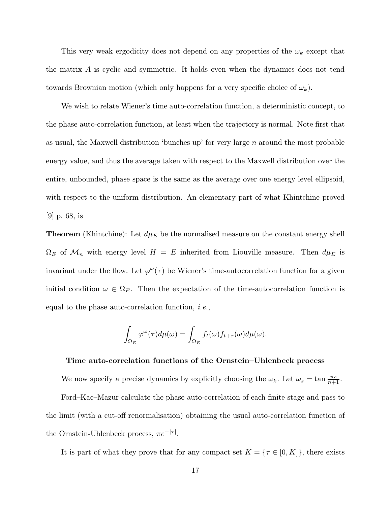This very weak ergodicity does not depend on any properties of the  $\omega_k$  except that the matrix A is cyclic and symmetric. It holds even when the dynamics does not tend towards Brownian motion (which only happens for a very specific choice of  $\omega_k$ ).

We wish to relate Wiener's time auto-correlation function, a deterministic concept, to the phase auto-correlation function, at least when the trajectory is normal. Note first that as usual, the Maxwell distribution 'bunches up' for very large  $n$  around the most probable energy value, and thus the average taken with respect to the Maxwell distribution over the entire, unbounded, phase space is the same as the average over one energy level ellipsoid, with respect to the uniform distribution. An elementary part of what Khintchine proved [9] p. 68, is

**Theorem** (Khintchine): Let  $d\mu_E$  be the normalised measure on the constant energy shell  $\Omega_E$  of  $\mathcal{M}_n$  with energy level  $H = E$  inherited from Liouville measure. Then  $d\mu_E$  is invariant under the flow. Let  $\varphi^{\omega}(\tau)$  be Wiener's time-autocorrelation function for a given initial condition  $\omega \in \Omega_E$ . Then the expectation of the time-autocorrelation function is equal to the phase auto-correlation function, *i.e.*,

$$
\int_{\Omega_E} \varphi^\omega(\tau) d\mu(\omega) = \int_{\Omega_E} f_t(\omega) f_{t+\tau}(\omega) d\mu(\omega).
$$

#### Time auto-correlation functions of the Ornstein–Uhlenbeck process

We now specify a precise dynamics by explicitly choosing the  $\omega_k$ . Let  $\omega_s = \tan \frac{\pi s}{n+1}$ .

Ford–Kac–Mazur calculate the phase auto-correlation of each finite stage and pass to the limit (with a cut-off renormalisation) obtaining the usual auto-correlation function of the Ornstein-Uhlenbeck process,  $\pi e^{-|\tau|}$ .

It is part of what they prove that for any compact set  $K = \{ \tau \in [0, K] \}$ , there exists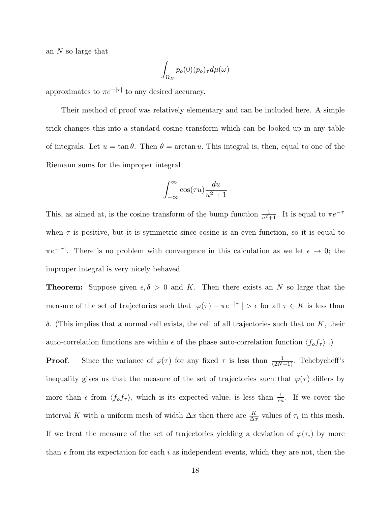an N so large that

$$
\int_{\Omega_E} p_o(0)(p_o)_{\tau} d\mu(\omega)
$$

approximates to  $\pi e^{-|\tau|}$  to any desired accuracy.

Their method of proof was relatively elementary and can be included here. A simple trick changes this into a standard cosine transform which can be looked up in any table of integrals. Let  $u = \tan \theta$ . Then  $\theta = \arctan u$ . This integral is, then, equal to one of the Riemann sums for the improper integral

$$
\int_{-\infty}^{\infty} \cos(\tau u) \frac{du}{u^2 + 1}
$$

This, as aimed at, is the cosine transform of the bump function  $\frac{1}{u^2+1}$ . It is equal to  $\pi e^{-\tau}$ when  $\tau$  is positive, but it is symmetric since cosine is an even function, so it is equal to  $\pi e^{-|\tau|}$ . There is no problem with convergence in this calculation as we let  $\epsilon \to 0$ ; the improper integral is very nicely behaved.

**Theorem:** Suppose given  $\epsilon, \delta > 0$  and K. Then there exists an N so large that the measure of the set of trajectories such that  $|\varphi(\tau) - \pi e^{-|\tau|}| > \epsilon$  for all  $\tau \in K$  is less than δ. (This implies that a normal cell exists, the cell of all trajectories such that on K, their auto-correlation functions are within  $\epsilon$  of the phase auto-correlation function  $\langle f_{o} f_{\tau} \rangle$ .)

**Proof.** Since the variance of  $\varphi(\tau)$  for any fixed  $\tau$  is less than  $\frac{1}{(2N+1)}$ , Tchebycheff's inequality gives us that the measure of the set of trajectories such that  $\varphi(\tau)$  differs by more than  $\epsilon$  from  $\langle f_o f_\tau \rangle$ , which is its expected value, is less than  $\frac{1}{\epsilon n}$ . If we cover the interval K with a uniform mesh of width  $\Delta x$  then there are  $\frac{K}{\Delta x}$  values of  $\tau_i$  in this mesh. If we treat the measure of the set of trajectories yielding a deviation of  $\varphi(\tau_i)$  by more than  $\epsilon$  from its expectation for each i as independent events, which they are not, then the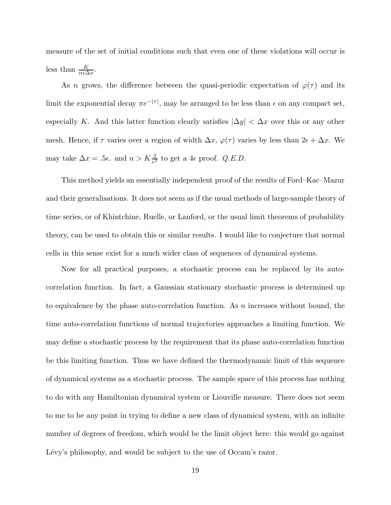measure of the set of initial conditions such that even one of these violations will occur is less than  $\frac{K}{n\epsilon\Delta x}$ .

As n grows, the difference between the quasi-periodic expectation of  $\varphi(\tau)$  and its limit the exponential decay  $\pi e^{-|\tau|}$ , may be arranged to be less than  $\epsilon$  on any compact set, especially K. And this latter function clearly satisfies  $|\Delta y| < \Delta x$  over this or any other mesh. Hence, if  $\tau$  varies over a region of width  $\Delta x$ ,  $\varphi(\tau)$  varies by less than  $2\epsilon + \Delta x$ . We may take  $\Delta x = .5\epsilon$ . and  $n > K\frac{2}{\epsilon^2}$  to get a 4 $\epsilon$  proof. *Q.E.D.* 

This method yields an essentially independent proof of the results of Ford–Kac–Mazur and their generalisations. It does not seem as if the usual methods of large-sample theory of time series, or of Khintchine, Ruelle, or Lanford, or the usual limit theorems of probability theory, can be used to obtain this or similar results. I would like to conjecture that normal cells in this sense exist for a much wider class of sequences of dynamical systems.

Now for all practical purposes, a stochastic process can be replaced by its autocorrelation function. In fact, a Gaussian stationary stochastic process is determined up to equivalence by the phase auto-correlation function. As  $n$  increases without bound, the time auto-correlation functions of normal trajectories approaches a limiting function. We may define a stochastic process by the requirement that its phase auto-correlation function be this limiting function. Thus we have defined the thermodynamic limit of this sequence of dynamical systems as a stochastic process. The sample space of this process has nothing to do with any Hamiltonian dynamical system or Liouville measure. There does not seem to me to be any point in trying to define a new class of dynamical system, with an infinite number of degrees of freedom, which would be the limit object here: this would go against Lévy's philosophy, and would be subject to the use of Occam's razor.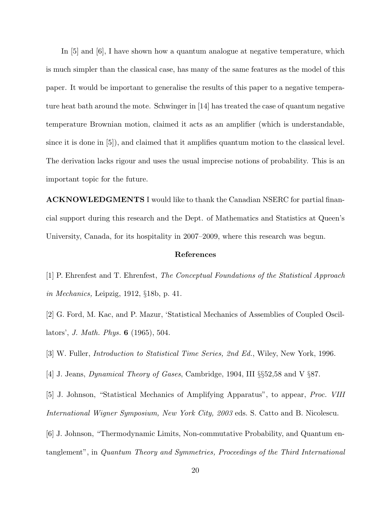In  $|5|$  and  $|6|$ , I have shown how a quantum analogue at negative temperature, which is much simpler than the classical case, has many of the same features as the model of this paper. It would be important to generalise the results of this paper to a negative temperature heat bath around the mote. Schwinger in [14] has treated the case of quantum negative temperature Brownian motion, claimed it acts as an amplifier (which is understandable, since it is done in [5]), and claimed that it amplifies quantum motion to the classical level. The derivation lacks rigour and uses the usual imprecise notions of probability. This is an important topic for the future.

ACKNOWLEDGMENTS I would like to thank the Canadian NSERC for partial financial support during this research and the Dept. of Mathematics and Statistics at Queen's University, Canada, for its hospitality in 2007–2009, where this research was begun.

# References

- [1] P. Ehrenfest and T. Ehrenfest, *The Conceptual Foundations of the Statistical Approach in Mechanics,* Leipzig, 1912, §18b, p. 41.
- [2] G. Ford, M. Kac, and P. Mazur, 'Statistical Mechanics of Assemblies of Coupled Oscillators', *J. Math. Phys.* 6 (1965), 504.
- [3] W. Fuller, *Introduction to Statistical Time Series, 2nd Ed.*, Wiley, New York, 1996.
- [4] J. Jeans, *Dynamical Theory of Gases*, Cambridge, 1904, III §§52,58 and V §87.
- [5] J. Johnson, "Statistical Mechanics of Amplifying Apparatus", to appear, *Proc. VIII International Wigner Symposium, New York City, 2003* eds. S. Catto and B. Nicolescu.

[6] J. Johnson, "Thermodynamic Limits, Non-commutative Probability, and Quantum entanglement", in *Quantum Theory and Symmetries, Proceedings of the Third International*